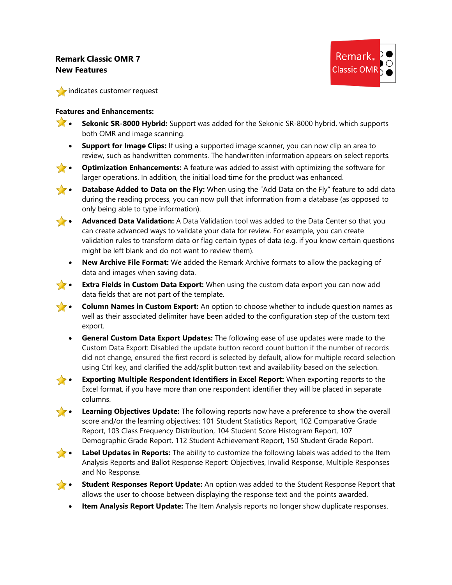## **Remark Classic OMR 7 New Features**



 $\blacktriangleright$  indicates customer request

## **Features and Enhancements:**

- **Sekonic SR-8000 Hybrid:** Support was added for the Sekonic SR-8000 hybrid, which supports both OMR and image scanning.
	- **Support for Image Clips:** If using a supported image scanner, you can now clip an area to review, such as handwritten comments. The handwritten information appears on select reports.
- **Optimization Enhancements:** A feature was added to assist with optimizing the software for larger operations. In addition, the initial load time for the product was enhanced.
- **Database Added to Data on the Fly:** When using the "Add Data on the Fly" feature to add data during the reading process, you can now pull that information from a database (as opposed to only being able to type information).
- **Advanced Data Validation:** A Data Validation tool was added to the Data Center so that you can create advanced ways to validate your data for review. For example, you can create validation rules to transform data or flag certain types of data (e.g. if you know certain questions might be left blank and do not want to review them).
	- **New Archive File Format:** We added the Remark Archive formats to allow the packaging of data and images when saving data.
- **Extra Fields in Custom Data Export:** When using the custom data export you can now add data fields that are not part of the template.
- **Column Names in Custom Export:** An option to choose whether to include question names as well as their associated delimiter have been added to the configuration step of the custom text export.
	- **General Custom Data Export Updates:** The following ease of use updates were made to the Custom Data Export: Disabled the update button record count button if the number of records did not change, ensured the first record is selected by default, allow for multiple record selection using Ctrl key, and clarified the add/split button text and availability based on the selection.
- **Exporting Multiple Respondent Identifiers in Excel Report:** When exporting reports to the Excel format, if you have more than one respondent identifier they will be placed in separate columns.
- **Learning Objectives Update:** The following reports now have a preference to show the overall score and/or the learning objectives: 101 Student Statistics Report, 102 Comparative Grade Report, 103 Class Frequency Distribution, 104 Student Score Histogram Report, 107 Demographic Grade Report, 112 Student Achievement Report, 150 Student Grade Report.
- **Label Updates in Reports:** The ability to customize the following labels was added to the Item Analysis Reports and Ballot Response Report: Objectives, Invalid Response, Multiple Responses and No Response.
- **Student Responses Report Update:** An option was added to the Student Response Report that allows the user to choose between displaying the response text and the points awarded.
	- **Item Analysis Report Update:** The Item Analysis reports no longer show duplicate responses.